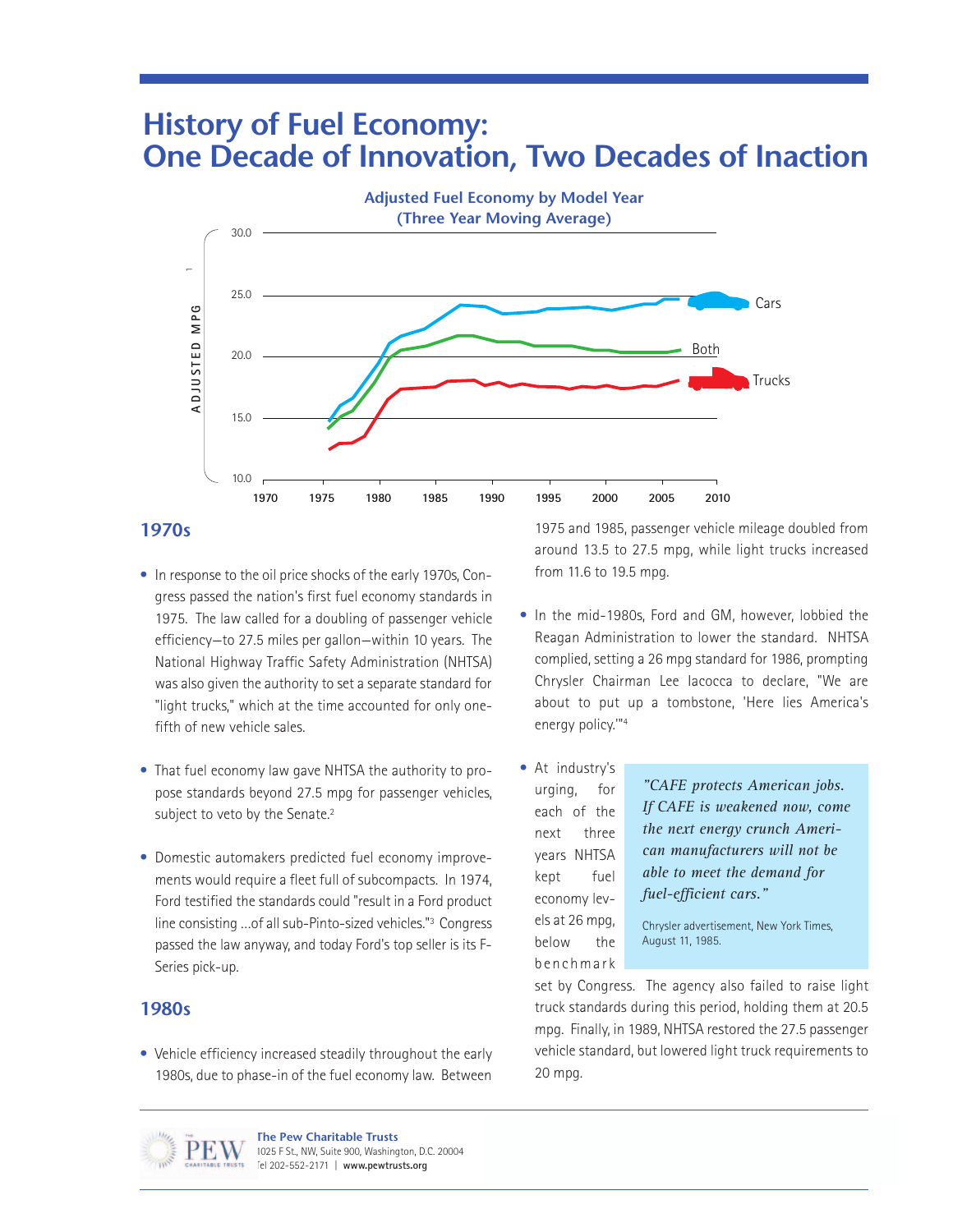# **History of Fuel Economy: One Decade of Innovation, Two Decades of Inaction**



## **1970s**

- In response to the oil price shocks of the early 1970s, Congress passed the nation's first fuel economy standards in 1975. The law called for a doubling of passenger vehicle efficiency—to 27.5 miles per gallon—within 10 years. The National Highway Traffic Safety Administration (NHTSA) was also given the authority to set a separate standard for "light trucks," which at the time accounted for only onefifth of new vehicle sales.
- That fuel economy law gave NHTSA the authority to propose standards beyond 27.5 mpg for passenger vehicles, subject to veto by the Senate.<sup>2</sup>
- Domestic automakers predicted fuel economy improvements would require a fleet full of subcompacts. In 1974, Ford testified the standards could "result in a Ford product line consisting …of all sub-Pinto-sized vehicles."3 Congress passed the law anyway, and today Ford's top seller is its F-Series pick-up.

#### **1980s**

• Vehicle efficiency increased steadily throughout the early 1980s, due to phase-in of the fuel economy law. Between

1975 and 1985, passenger vehicle mileage doubled from around 13.5 to 27.5 mpg, while light trucks increased from 11.6 to 19.5 mpg.

- In the mid-1980s, Ford and GM, however, lobbied the Reagan Administration to lower the standard. NHTSA complied, setting a 26 mpg standard for 1986, prompting Chrysler Chairman Lee Iacocca to declare, "We are about to put up a tombstone, 'Here lies America's energy policy.'"4
- At industry's urging, for each of the next three years NHTSA kept fuel economy levels at 26 mpg, below the benchmark

*"CAFE protects American jobs. If CAFE is weakened now, come the next energy crunch American manufacturers will not be able to meet the demand for fuel-efficient cars."* 

Chrysler advertisement, New York Times, August 11, 1985.

set by Congress. The agency also failed to raise light truck standards during this period, holding them at 20.5 mpg. Finally, in 1989, NHTSA restored the 27.5 passenger vehicle standard, but lowered light truck requirements to 20 mpg.



**The Pew Charitable Trusts** 1025 F St., NW, Suite 900, Washington, D.C. 20004 Tel 202-552-2171 | **www.pewtrusts.org**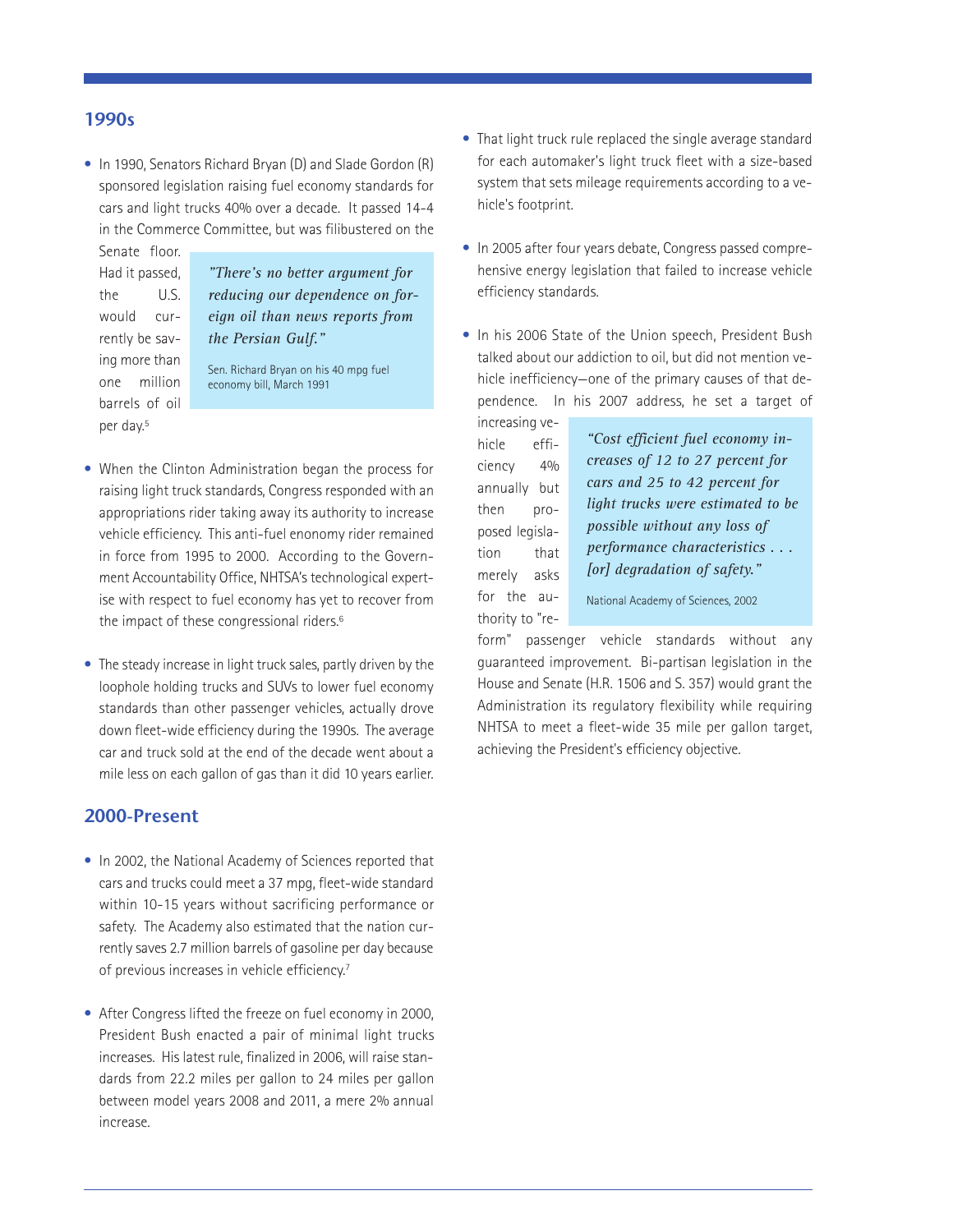### **1990s**

• In 1990, Senators Richard Bryan (D) and Slade Gordon (R) sponsored legislation raising fuel economy standards for cars and light trucks 40% over a decade. It passed 14-4 in the Commerce Committee, but was filibustered on the

Senate floor. Had it passed, the U.S. would currently be saving more than one million barrels of oil per day.5

*"There's no better argument for reducing our dependence on foreign oil than news reports from the Persian Gulf."*

Sen. Richard Bryan on his 40 mpg fuel economy bill, March 1991

- When the Clinton Administration began the process for raising light truck standards, Congress responded with an appropriations rider taking away its authority to increase vehicle efficiency. This anti-fuel enonomy rider remained in force from 1995 to 2000. According to the Government Accountability Office, NHTSA's technological expertise with respect to fuel economy has yet to recover from the impact of these congressional riders.6
- The steady increase in light truck sales, partly driven by the loophole holding trucks and SUVs to lower fuel economy standards than other passenger vehicles, actually drove down fleet-wide efficiency during the 1990s. The average car and truck sold at the end of the decade went about a mile less on each gallon of gas than it did 10 years earlier.

## **2000-Present**

- In 2002, the National Academy of Sciences reported that cars and trucks could meet a 37 mpg, fleet-wide standard within 10-15 years without sacrificing performance or safety. The Academy also estimated that the nation currently saves 2.7 million barrels of gasoline per day because of previous increases in vehicle efficiency.<sup>7</sup>
- After Congress lifted the freeze on fuel economy in 2000, President Bush enacted a pair of minimal light trucks increases. His latest rule, finalized in 2006, will raise standards from 22.2 miles per gallon to 24 miles per gallon between model years 2008 and 2011, a mere 2% annual increase.
- That light truck rule replaced the single average standard for each automaker's light truck fleet with a size-based system that sets mileage requirements according to a vehicle's footprint.
- In 2005 after four years debate, Congress passed comprehensive energy legislation that failed to increase vehicle efficiency standards.
- In his 2006 State of the Union speech, President Bush talked about our addiction to oil, but did not mention vehicle inefficiency—one of the primary causes of that dependence. In his 2007 address, he set a target of

increasing vehicle efficiency 4% annually but then proposed legislation that merely asks for the authority to "re-

*"Cost efficient fuel economy increases of 12 to 27 percent for cars and 25 to 42 percent for light trucks were estimated to be possible without any loss of performance characteristics . . . [or] degradation of safety."* National Academy of Sciences, 2002

form" passenger vehicle standards without any guaranteed improvement. Bi-partisan legislation in the House and Senate (H.R. 1506 and S. 357) would grant the Administration its regulatory flexibility while requiring NHTSA to meet a fleet-wide 35 mile per gallon target, achieving the President's efficiency objective.